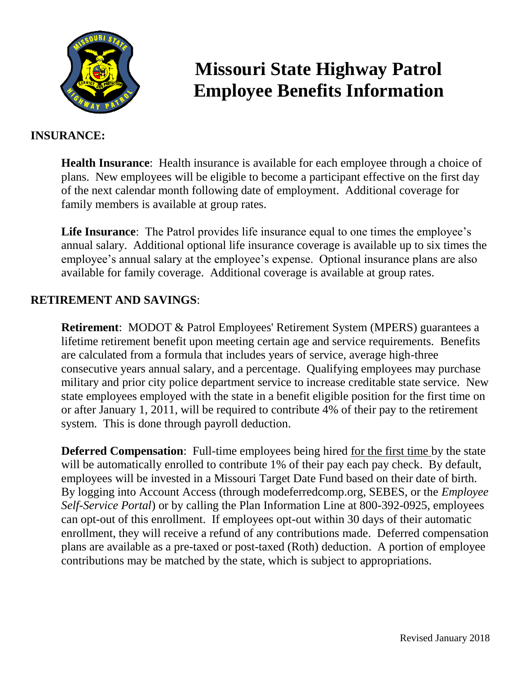

# **Missouri State Highway Patrol Employee Benefits Information**

#### **INSURANCE:**

**Health Insurance**: Health insurance is available for each employee through a choice of plans. New employees will be eligible to become a participant effective on the first day of the next calendar month following date of employment. Additional coverage for family members is available at group rates.

**Life Insurance**: The Patrol provides life insurance equal to one times the employee's annual salary. Additional optional life insurance coverage is available up to six times the employee's annual salary at the employee's expense. Optional insurance plans are also available for family coverage. Additional coverage is available at group rates.

## **RETIREMENT AND SAVINGS**:

**Retirement**: MODOT & Patrol Employees' Retirement System (MPERS) guarantees a lifetime retirement benefit upon meeting certain age and service requirements. Benefits are calculated from a formula that includes years of service, average high-three consecutive years annual salary, and a percentage. Qualifying employees may purchase military and prior city police department service to increase creditable state service. New state employees employed with the state in a benefit eligible position for the first time on or after January 1, 2011, will be required to contribute 4% of their pay to the retirement system. This is done through payroll deduction.

**Deferred Compensation**: Full-time employees being hired for the first time by the state will be automatically enrolled to contribute 1% of their pay each pay check. By default, employees will be invested in a Missouri Target Date Fund based on their date of birth. By logging into Account Access (through modeferredcomp.org, SEBES, or the *Employee Self-Service Portal*) or by calling the Plan Information Line at 800-392-0925, employees can opt-out of this enrollment. If employees opt-out within 30 days of their automatic enrollment, they will receive a refund of any contributions made. Deferred compensation plans are available as a pre-taxed or post-taxed (Roth) deduction. A portion of employee contributions may be matched by the state, which is subject to appropriations.